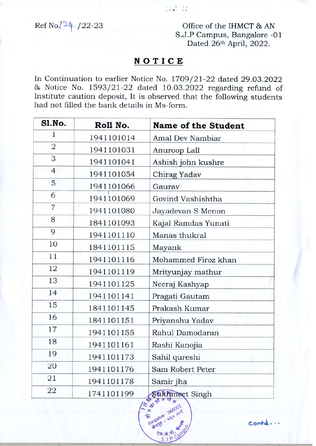Ref No. 24 / 22-23

Office of the IHMCT & AN S.J.P Campus, Bangalore -01 Dated 26th April, 2022.

## NOTICE

11. S. C

In Continuation to earlier Notice No. 1709/21-22 dated 29.03.2022 & Notice No. 1593/21-22 dated 10.03.2022 regarding refund of Institute caution deposit, It is observed that the following students had not filled the bank details in Ms-form.

| Sl.No.         | Roll No.   | <b>Name of the Student</b> |
|----------------|------------|----------------------------|
| 1              | 1941101014 | Amal Dev Nambiar           |
| $\overline{2}$ | 1941101031 | Anuroop Lall               |
| 3              | 1941101041 | Ashish john kushre         |
| $\overline{4}$ | 1941101054 | Chirag Yadav               |
| 5              | 1941101066 | Gaurav                     |
| 6              | 1941101069 | Govind Vashishtha          |
| 7              | 1941101080 | Jayadevan S Menon          |
| 8              | 1841101093 | Kajal Ramdas Yunati        |
| 9              | 1941101110 | Manas thukral              |
| 10             | 1841101115 | Mayank                     |
| 11             | 1941101116 | Mohammed Firoz khan        |
| 12             | 1941101119 | Mrityunjay mathur          |
| 13             | 1941101125 | Neeraj Kashyap             |
| 14             | 1941101141 | Pragati Gautam             |
| 15             | 1841101145 | Prakash Kumar              |
| 16             | 1841101151 | Priyanshu Yadav            |
| 17             | 1941101155 | Rahul Damodaran            |
| 18             | 1941101161 | Rashi Kanojia              |
| 19             | 1941101173 | Sahil qureshi              |
| 20             | 1941101176 | Sam Robert Peter           |
| 21             | 1941101178 | Samir jha                  |
| 22             | 1741101199 | Sukhmeet Singh             |



 $contd...$